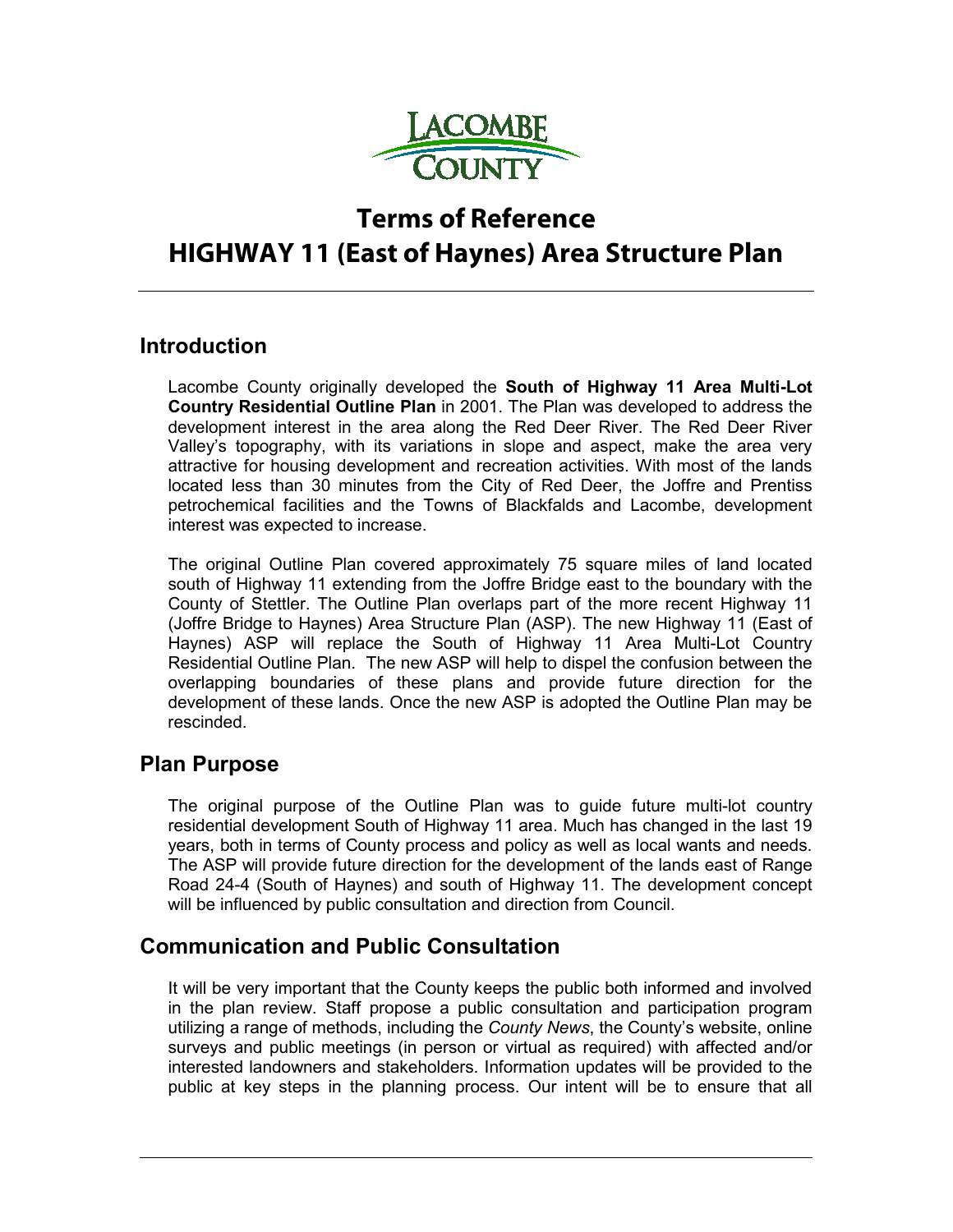

# **Terms of Reference HIGHWAY 11 (East of Haynes) Area Structure Plan**

### **Introduction**

Lacombe County originally developed the **South of Highway 11 Area Multi-Lot Country Residential Outline Plan** in 2001. The Plan was developed to address the development interest in the area along the Red Deer River. The Red Deer River Valley's topography, with its variations in slope and aspect, make the area very attractive for housing development and recreation activities. With most of the lands located less than 30 minutes from the City of Red Deer, the Joffre and Prentiss petrochemical facilities and the Towns of Blackfalds and Lacombe, development interest was expected to increase.

The original Outline Plan covered approximately 75 square miles of land located south of Highway 11 extending from the Joffre Bridge east to the boundary with the County of Stettler. The Outline Plan overlaps part of the more recent Highway 11 (Joffre Bridge to Haynes) Area Structure Plan (ASP). The new Highway 11 (East of Haynes) ASP will replace the South of Highway 11 Area Multi-Lot Country Residential Outline Plan. The new ASP will help to dispel the confusion between the overlapping boundaries of these plans and provide future direction for the development of these lands. Once the new ASP is adopted the Outline Plan may be rescinded.

### **Plan Purpose**

The original purpose of the Outline Plan was to guide future multi-lot country residential development South of Highway 11 area. Much has changed in the last 19 years, both in terms of County process and policy as well as local wants and needs. The ASP will provide future direction for the development of the lands east of Range Road 24-4 (South of Haynes) and south of Highway 11. The development concept will be influenced by public consultation and direction from Council.

### **Communication and Public Consultation**

It will be very important that the County keeps the public both informed and involved in the plan review. Staff propose a public consultation and participation program utilizing a range of methods, including the *County News*, the County's website, online surveys and public meetings (in person or virtual as required) with affected and/or interested landowners and stakeholders. Information updates will be provided to the public at key steps in the planning process. Our intent will be to ensure that all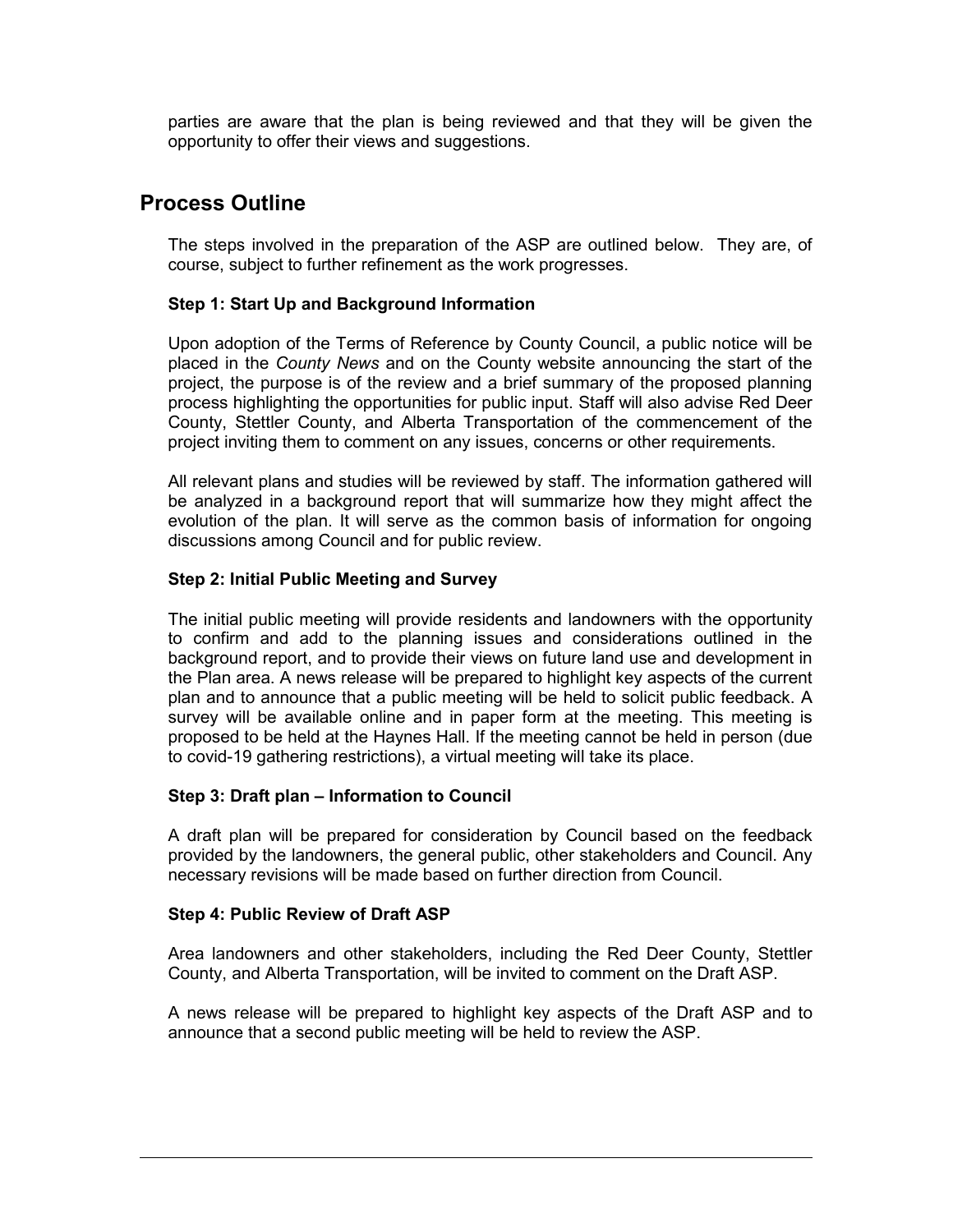parties are aware that the plan is being reviewed and that they will be given the opportunity to offer their views and suggestions.

### **Process Outline**

The steps involved in the preparation of the ASP are outlined below. They are, of course, subject to further refinement as the work progresses.

#### **Step 1: Start Up and Background Information**

Upon adoption of the Terms of Reference by County Council, a public notice will be placed in the *County News* and on the County website announcing the start of the project, the purpose is of the review and a brief summary of the proposed planning process highlighting the opportunities for public input. Staff will also advise Red Deer County, Stettler County, and Alberta Transportation of the commencement of the project inviting them to comment on any issues, concerns or other requirements.

All relevant plans and studies will be reviewed by staff. The information gathered will be analyzed in a background report that will summarize how they might affect the evolution of the plan. It will serve as the common basis of information for ongoing discussions among Council and for public review.

#### **Step 2: Initial Public Meeting and Survey**

The initial public meeting will provide residents and landowners with the opportunity to confirm and add to the planning issues and considerations outlined in the background report, and to provide their views on future land use and development in the Plan area. A news release will be prepared to highlight key aspects of the current plan and to announce that a public meeting will be held to solicit public feedback. A survey will be available online and in paper form at the meeting. This meeting is proposed to be held at the Haynes Hall. If the meeting cannot be held in person (due to covid-19 gathering restrictions), a virtual meeting will take its place.

#### **Step 3: Draft plan – Information to Council**

A draft plan will be prepared for consideration by Council based on the feedback provided by the landowners, the general public, other stakeholders and Council. Any necessary revisions will be made based on further direction from Council.

#### **Step 4: Public Review of Draft ASP**

Area landowners and other stakeholders, including the Red Deer County, Stettler County, and Alberta Transportation, will be invited to comment on the Draft ASP.

A news release will be prepared to highlight key aspects of the Draft ASP and to announce that a second public meeting will be held to review the ASP.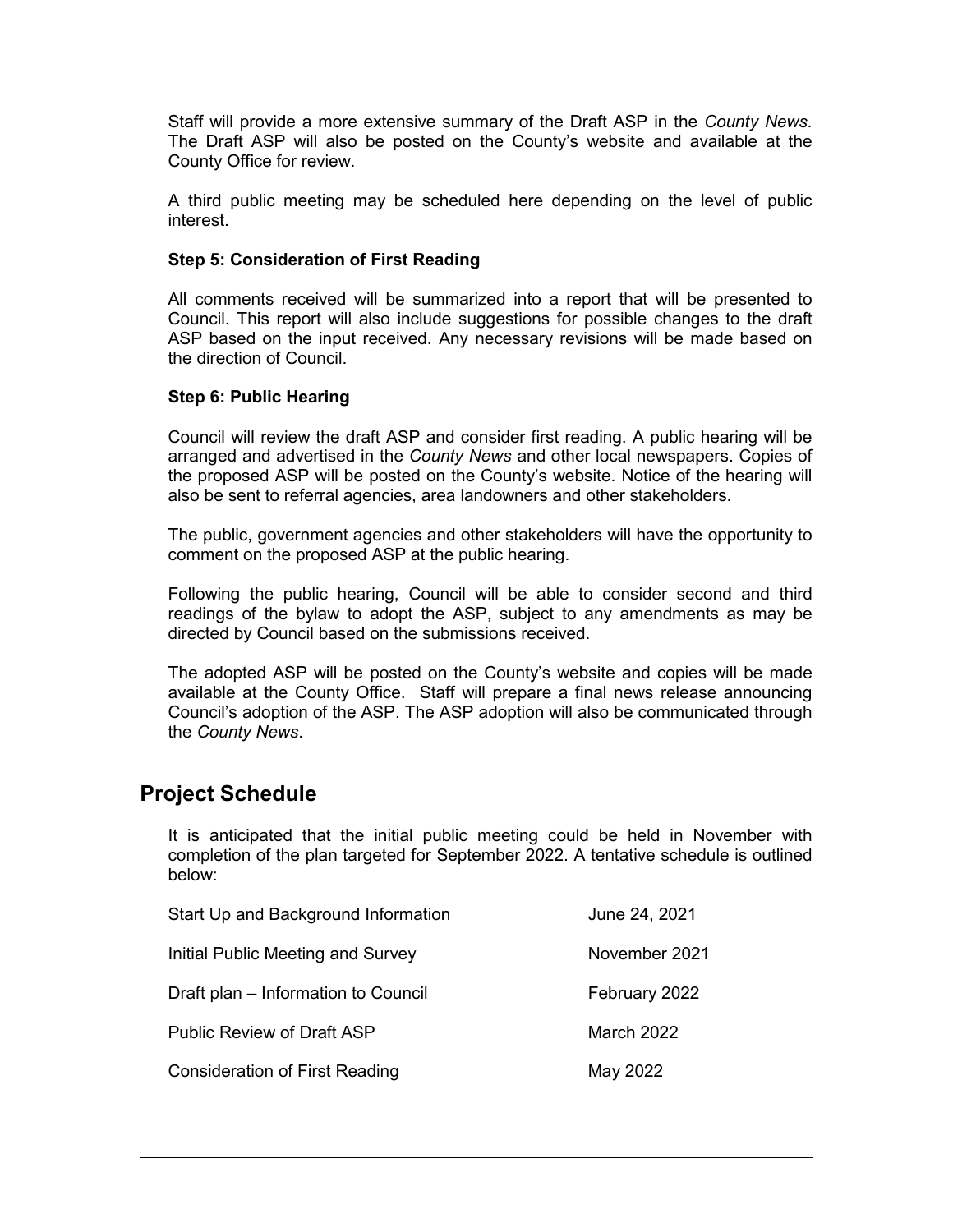Staff will provide a more extensive summary of the Draft ASP in the *County News*. The Draft ASP will also be posted on the County's website and available at the County Office for review.

A third public meeting may be scheduled here depending on the level of public interest.

#### **Step 5: Consideration of First Reading**

All comments received will be summarized into a report that will be presented to Council. This report will also include suggestions for possible changes to the draft ASP based on the input received. Any necessary revisions will be made based on the direction of Council.

#### **Step 6: Public Hearing**

Council will review the draft ASP and consider first reading. A public hearing will be arranged and advertised in the *County News* and other local newspapers. Copies of the proposed ASP will be posted on the County's website. Notice of the hearing will also be sent to referral agencies, area landowners and other stakeholders.

The public, government agencies and other stakeholders will have the opportunity to comment on the proposed ASP at the public hearing.

Following the public hearing, Council will be able to consider second and third readings of the bylaw to adopt the ASP, subject to any amendments as may be directed by Council based on the submissions received.

The adopted ASP will be posted on the County's website and copies will be made available at the County Office. Staff will prepare a final news release announcing Council's adoption of the ASP. The ASP adoption will also be communicated through the *County News*.

### **Project Schedule**

It is anticipated that the initial public meeting could be held in November with completion of the plan targeted for September 2022. A tentative schedule is outlined below:

| Start Up and Background Information   | June 24, 2021     |
|---------------------------------------|-------------------|
| Initial Public Meeting and Survey     | November 2021     |
| Draft plan - Information to Council   | February 2022     |
| <b>Public Review of Draft ASP</b>     | <b>March 2022</b> |
| <b>Consideration of First Reading</b> | May 2022          |